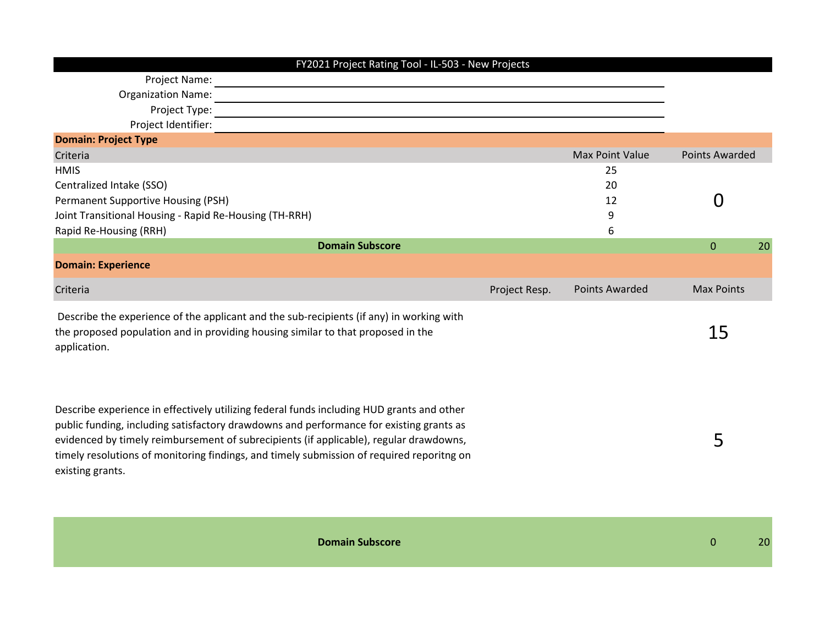| FY2021 Project Rating Tool - IL-503 - New Projects                                                                                                                                                                                                                                                                                                                                              |               |                       |                       |
|-------------------------------------------------------------------------------------------------------------------------------------------------------------------------------------------------------------------------------------------------------------------------------------------------------------------------------------------------------------------------------------------------|---------------|-----------------------|-----------------------|
| Project Name:                                                                                                                                                                                                                                                                                                                                                                                   |               |                       |                       |
| <b>Organization Name:</b>                                                                                                                                                                                                                                                                                                                                                                       |               |                       |                       |
| Project Type:                                                                                                                                                                                                                                                                                                                                                                                   |               |                       |                       |
| Project Identifier:                                                                                                                                                                                                                                                                                                                                                                             |               |                       |                       |
| <b>Domain: Project Type</b>                                                                                                                                                                                                                                                                                                                                                                     |               |                       |                       |
| Criteria                                                                                                                                                                                                                                                                                                                                                                                        |               | Max Point Value       | <b>Points Awarded</b> |
| <b>HMIS</b>                                                                                                                                                                                                                                                                                                                                                                                     |               | 25                    |                       |
| Centralized Intake (SSO)                                                                                                                                                                                                                                                                                                                                                                        |               | 20                    |                       |
| Permanent Supportive Housing (PSH)                                                                                                                                                                                                                                                                                                                                                              |               | 12                    | 0                     |
| Joint Transitional Housing - Rapid Re-Housing (TH-RRH)                                                                                                                                                                                                                                                                                                                                          |               | 9                     |                       |
| Rapid Re-Housing (RRH)                                                                                                                                                                                                                                                                                                                                                                          |               | 6                     |                       |
| <b>Domain Subscore</b>                                                                                                                                                                                                                                                                                                                                                                          |               |                       | $\mathbf{0}$<br>20    |
| <b>Domain: Experience</b>                                                                                                                                                                                                                                                                                                                                                                       |               |                       |                       |
| Criteria                                                                                                                                                                                                                                                                                                                                                                                        | Project Resp. | <b>Points Awarded</b> | <b>Max Points</b>     |
| Describe the experience of the applicant and the sub-recipients (if any) in working with<br>the proposed population and in providing housing similar to that proposed in the<br>application.                                                                                                                                                                                                    |               |                       | 15                    |
| Describe experience in effectively utilizing federal funds including HUD grants and other<br>public funding, including satisfactory drawdowns and performance for existing grants as<br>evidenced by timely reimbursement of subrecipients (if applicable), regular drawdowns,<br>timely resolutions of monitoring findings, and timely submission of required reporitng on<br>existing grants. |               |                       | 5                     |
| <b>Domain Subscore</b>                                                                                                                                                                                                                                                                                                                                                                          |               |                       | $\mathbf 0$<br>20     |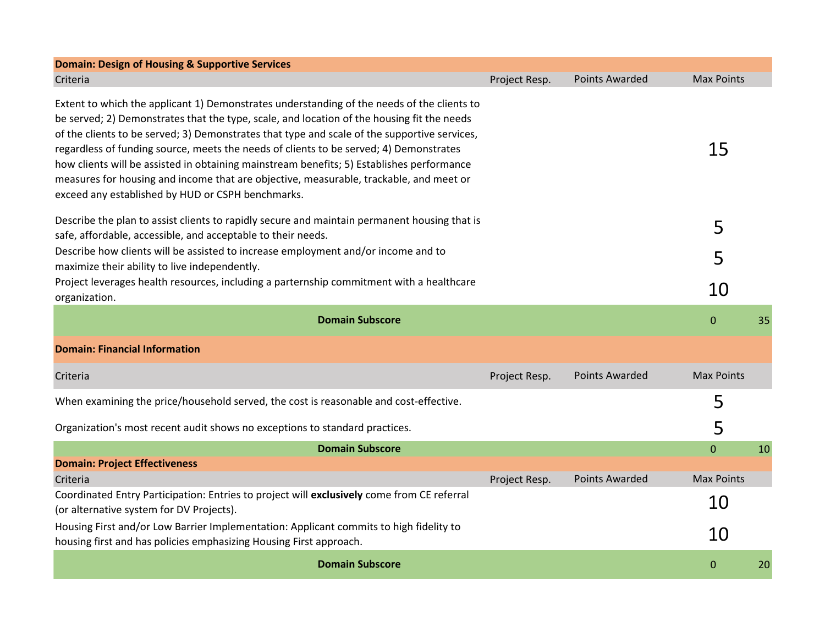| <b>Domain: Design of Housing &amp; Supportive Services</b>                                                                                                                                                                                                                                                                                                                                                                                                                                                                                                                                                                     |               |                       |                   |    |
|--------------------------------------------------------------------------------------------------------------------------------------------------------------------------------------------------------------------------------------------------------------------------------------------------------------------------------------------------------------------------------------------------------------------------------------------------------------------------------------------------------------------------------------------------------------------------------------------------------------------------------|---------------|-----------------------|-------------------|----|
| Criteria                                                                                                                                                                                                                                                                                                                                                                                                                                                                                                                                                                                                                       | Project Resp. | <b>Points Awarded</b> | <b>Max Points</b> |    |
| Extent to which the applicant 1) Demonstrates understanding of the needs of the clients to<br>be served; 2) Demonstrates that the type, scale, and location of the housing fit the needs<br>of the clients to be served; 3) Demonstrates that type and scale of the supportive services,<br>regardless of funding source, meets the needs of clients to be served; 4) Demonstrates<br>how clients will be assisted in obtaining mainstream benefits; 5) Establishes performance<br>measures for housing and income that are objective, measurable, trackable, and meet or<br>exceed any established by HUD or CSPH benchmarks. |               |                       | 15                |    |
| Describe the plan to assist clients to rapidly secure and maintain permanent housing that is<br>safe, affordable, accessible, and acceptable to their needs.                                                                                                                                                                                                                                                                                                                                                                                                                                                                   |               |                       | 5                 |    |
| Describe how clients will be assisted to increase employment and/or income and to<br>maximize their ability to live independently.                                                                                                                                                                                                                                                                                                                                                                                                                                                                                             |               |                       | 5                 |    |
| Project leverages health resources, including a parternship commitment with a healthcare<br>organization.                                                                                                                                                                                                                                                                                                                                                                                                                                                                                                                      |               |                       | 10                |    |
| <b>Domain Subscore</b>                                                                                                                                                                                                                                                                                                                                                                                                                                                                                                                                                                                                         |               |                       | $\mathbf{0}$      | 35 |
| <b>Domain: Financial Information</b>                                                                                                                                                                                                                                                                                                                                                                                                                                                                                                                                                                                           |               |                       |                   |    |
| Criteria                                                                                                                                                                                                                                                                                                                                                                                                                                                                                                                                                                                                                       | Project Resp. | <b>Points Awarded</b> | <b>Max Points</b> |    |
| When examining the price/household served, the cost is reasonable and cost-effective.                                                                                                                                                                                                                                                                                                                                                                                                                                                                                                                                          |               |                       | 5                 |    |
| Organization's most recent audit shows no exceptions to standard practices.                                                                                                                                                                                                                                                                                                                                                                                                                                                                                                                                                    |               |                       | 5                 |    |
| <b>Domain Subscore</b>                                                                                                                                                                                                                                                                                                                                                                                                                                                                                                                                                                                                         |               |                       | $\overline{0}$    | 10 |
| <b>Domain: Project Effectiveness</b>                                                                                                                                                                                                                                                                                                                                                                                                                                                                                                                                                                                           |               |                       |                   |    |
| Criteria                                                                                                                                                                                                                                                                                                                                                                                                                                                                                                                                                                                                                       | Project Resp. | <b>Points Awarded</b> | <b>Max Points</b> |    |
| Coordinated Entry Participation: Entries to project will exclusively come from CE referral<br>(or alternative system for DV Projects).                                                                                                                                                                                                                                                                                                                                                                                                                                                                                         |               |                       | 10                |    |
| Housing First and/or Low Barrier Implementation: Applicant commits to high fidelity to<br>housing first and has policies emphasizing Housing First approach.                                                                                                                                                                                                                                                                                                                                                                                                                                                                   |               |                       | 10                |    |
| <b>Domain Subscore</b>                                                                                                                                                                                                                                                                                                                                                                                                                                                                                                                                                                                                         |               |                       | 0                 | 20 |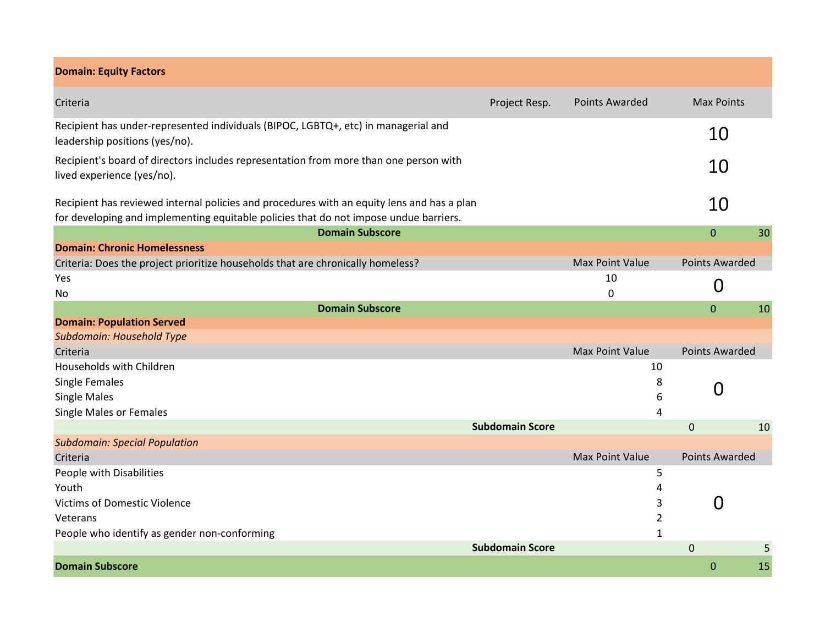| <b>Domain: Equity Factors</b>                                                                                                                                                       |                        |                        |                       |    |
|-------------------------------------------------------------------------------------------------------------------------------------------------------------------------------------|------------------------|------------------------|-----------------------|----|
| Criteria                                                                                                                                                                            | Project Resp.          | <b>Points Awarded</b>  | <b>Max Points</b>     |    |
| Recipient has under-represented individuals (BIPOC, LGBTQ+, etc) in managerial and<br>leadership positions (yes/no).                                                                |                        |                        | 10                    |    |
| Recipient's board of directors includes representation from more than one person with<br>lived experience (yes/no).                                                                 |                        |                        | 10                    |    |
| Recipient has reviewed internal policies and procedures with an equity lens and has a plan<br>for developing and implementing equitable policies that do not impose undue barriers. |                        |                        | 10                    |    |
| <b>Domain Subscore</b>                                                                                                                                                              |                        |                        | $\mathbf{0}$          | 30 |
| <b>Domain: Chronic Homelessness</b>                                                                                                                                                 |                        |                        |                       |    |
| Criteria: Does the project prioritize households that are chronically homeless?                                                                                                     |                        | <b>Max Point Value</b> | <b>Points Awarded</b> |    |
| Yes                                                                                                                                                                                 |                        | 10                     | 0                     |    |
| No                                                                                                                                                                                  |                        | 0                      |                       |    |
| <b>Domain Subscore</b>                                                                                                                                                              |                        |                        | $\mathbf{0}$          | 10 |
| <b>Domain: Population Served</b>                                                                                                                                                    |                        |                        |                       |    |
| Subdomain: Household Type                                                                                                                                                           |                        |                        |                       |    |
| Criteria                                                                                                                                                                            |                        | <b>Max Point Value</b> | <b>Points Awarded</b> |    |
| Households with Children                                                                                                                                                            |                        | 10                     |                       |    |
| <b>Single Females</b>                                                                                                                                                               |                        | 8                      | 0                     |    |
| <b>Single Males</b>                                                                                                                                                                 |                        | 6                      |                       |    |
| <b>Single Males or Females</b>                                                                                                                                                      | <b>Subdomain Score</b> | 4                      |                       |    |
| <b>Subdomain: Special Population</b>                                                                                                                                                |                        |                        | $\mathbf 0$           | 10 |
| Criteria                                                                                                                                                                            |                        | <b>Max Point Value</b> | <b>Points Awarded</b> |    |
| People with Disabilities                                                                                                                                                            |                        | 5                      |                       |    |
| Youth                                                                                                                                                                               |                        | 4                      |                       |    |
| <b>Victims of Domestic Violence</b>                                                                                                                                                 |                        | 3                      | 0                     |    |
| Veterans                                                                                                                                                                            |                        | $\overline{2}$         |                       |    |
| People who identify as gender non-conforming                                                                                                                                        |                        | 1                      |                       |    |
|                                                                                                                                                                                     | <b>Subdomain Score</b> |                        | $\mathbf 0$           | 5  |
| <b>Domain Subscore</b>                                                                                                                                                              |                        |                        | $\mathbf 0$           | 15 |